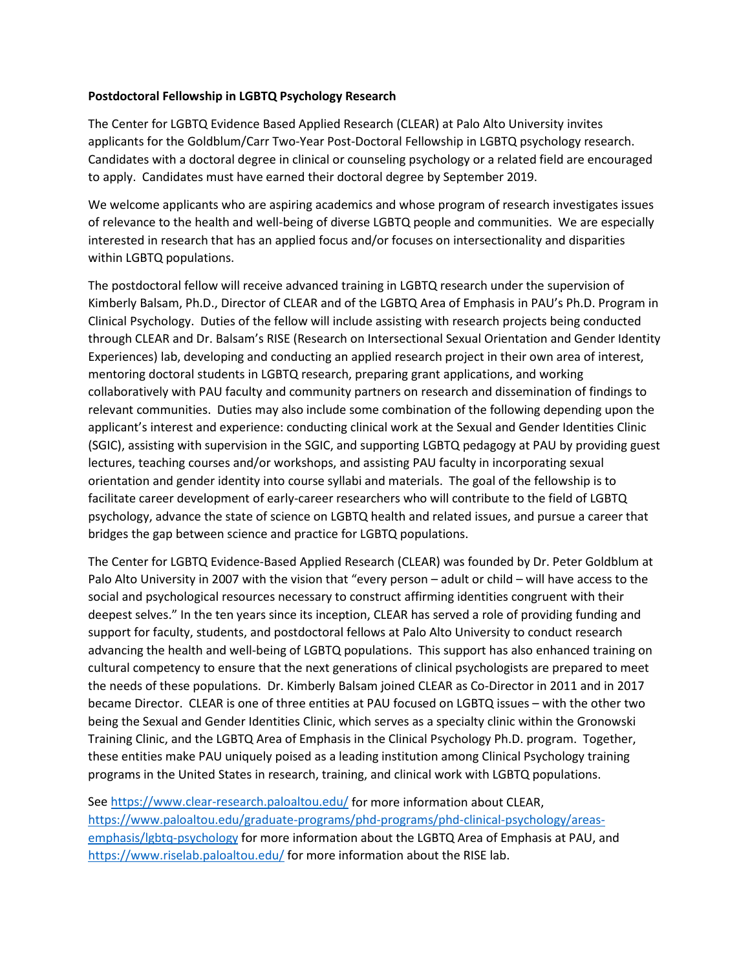## **Postdoctoral Fellowship in LGBTQ Psychology Research**

The Center for LGBTQ Evidence Based Applied Research (CLEAR) at Palo Alto University invites applicants for the Goldblum/Carr Two-Year Post-Doctoral Fellowship in LGBTQ psychology research. Candidates with a doctoral degree in clinical or counseling psychology or a related field are encouraged to apply. Candidates must have earned their doctoral degree by September 2019.

We welcome applicants who are aspiring academics and whose program of research investigates issues of relevance to the health and well-being of diverse LGBTQ people and communities. We are especially interested in research that has an applied focus and/or focuses on intersectionality and disparities within LGBTQ populations.

The postdoctoral fellow will receive advanced training in LGBTQ research under the supervision of Kimberly Balsam, Ph.D., Director of CLEAR and of the LGBTQ Area of Emphasis in PAU's Ph.D. Program in Clinical Psychology. Duties of the fellow will include assisting with research projects being conducted through CLEAR and Dr. Balsam's RISE (Research on Intersectional Sexual Orientation and Gender Identity Experiences) lab, developing and conducting an applied research project in their own area of interest, mentoring doctoral students in LGBTQ research, preparing grant applications, and working collaboratively with PAU faculty and community partners on research and dissemination of findings to relevant communities. Duties may also include some combination of the following depending upon the applicant's interest and experience: conducting clinical work at the Sexual and Gender Identities Clinic (SGIC), assisting with supervision in the SGIC, and supporting LGBTQ pedagogy at PAU by providing guest lectures, teaching courses and/or workshops, and assisting PAU faculty in incorporating sexual orientation and gender identity into course syllabi and materials. The goal of the fellowship is to facilitate career development of early-career researchers who will contribute to the field of LGBTQ psychology, advance the state of science on LGBTQ health and related issues, and pursue a career that bridges the gap between science and practice for LGBTQ populations.

The Center for LGBTQ Evidence-Based Applied Research (CLEAR) was founded by Dr. Peter Goldblum at Palo Alto University in 2007 with the vision that "every person – adult or child – will have access to the social and psychological resources necessary to construct affirming identities congruent with their deepest selves." In the ten years since its inception, CLEAR has served a role of providing funding and support for faculty, students, and postdoctoral fellows at Palo Alto University to conduct research advancing the health and well-being of LGBTQ populations. This support has also enhanced training on cultural competency to ensure that the next generations of clinical psychologists are prepared to meet the needs of these populations. Dr. Kimberly Balsam joined CLEAR as Co-Director in 2011 and in 2017 became Director. CLEAR is one of three entities at PAU focused on LGBTQ issues – with the other two being the Sexual and Gender Identities Clinic, which serves as a specialty clinic within the Gronowski Training Clinic, and the LGBTQ Area of Emphasis in the Clinical Psychology Ph.D. program. Together, these entities make PAU uniquely poised as a leading institution among Clinical Psychology training programs in the United States in research, training, and clinical work with LGBTQ populations.

See<https://www.clear-research.paloaltou.edu/> for more information about CLEAR, [https://www.paloaltou.edu/graduate-programs/phd-programs/phd-clinical-psychology/areas](https://www.paloaltou.edu/graduate-programs/phd-programs/phd-clinical-psychology/areas-emphasis/lgbtq-psychology)[emphasis/lgbtq-psychology](https://www.paloaltou.edu/graduate-programs/phd-programs/phd-clinical-psychology/areas-emphasis/lgbtq-psychology) for more information about the LGBTQ Area of Emphasis at PAU, and <https://www.riselab.paloaltou.edu/> for more information about the RISE lab.